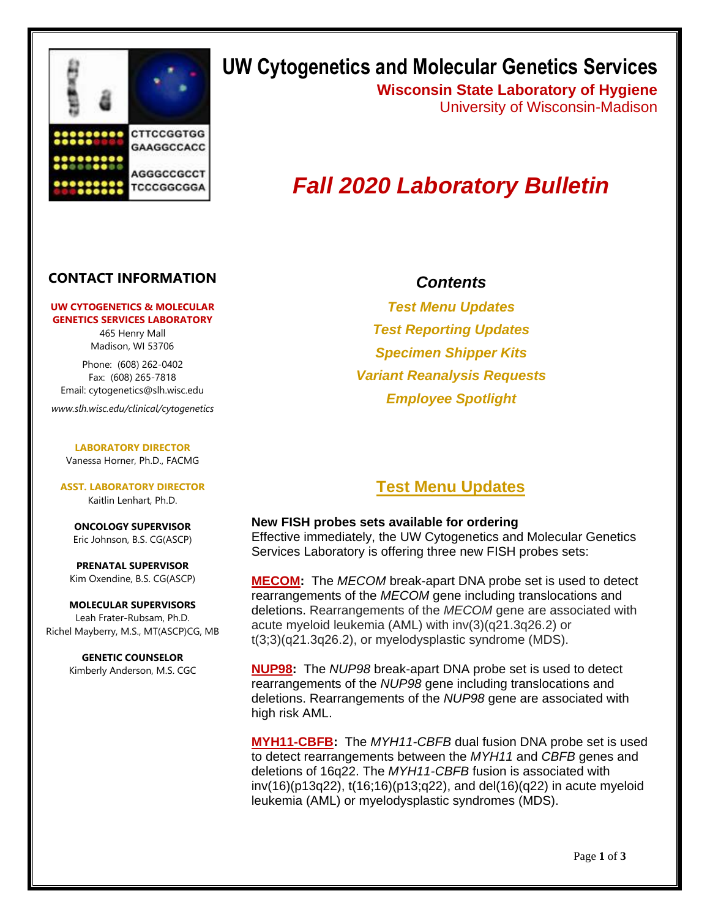

## **UW Cytogenetics and Molecular Genetics Services**

**Wisconsin State Laboratory of Hygiene** University of Wisconsin-Madison

# *Fall 2020 Laboratory Bulletin*

#### **CONTACT INFORMATION**

#### **UW CYTOGENETICS & MOLECULAR GENETICS SERVICES LABORATORY**

465 Henry Mall Madison, WI 53706

Phone: (608) 262-0402 Fax: (608) 265-7818 Email: cytogenetics@slh.wisc.edu

*www.slh.wisc.edu/clinical/cytogenetics*

**LABORATORY DIRECTOR** Vanessa Horner, Ph.D., FACMG

**ASST. LABORATORY DIRECTOR** Kaitlin Lenhart, Ph.D.

**ONCOLOGY SUPERVISOR** Eric Johnson, B.S. CG(ASCP)

**PRENATAL SUPERVISOR** Kim Oxendine, B.S. CG(ASCP)

**MOLECULAR SUPERVISORS** Leah Frater-Rubsam, Ph.D. Richel Mayberry, M.S., MT(ASCP)CG, MB

> **GENETIC COUNSELOR** Kimberly Anderson, M.S. CGC

#### *Contents*

*Test Menu Updates Test Reporting Updates Specimen Shipper Kits Variant Reanalysis Requests Employee Spotlight*

## **Test Menu Updates**

#### **New FISH probes sets available for ordering**

Effective immediately, the UW Cytogenetics and Molecular Genetics Services Laboratory is offering three new FISH probes sets:

**MECOM:** The *MECOM* break-apart DNA probe set is used to detect rearrangements of the *MECOM* gene including translocations and deletions. Rearrangements of the *MECOM* gene are associated with acute myeloid leukemia (AML) with inv(3)(q21.3q26.2) or t(3;3)(q21.3q26.2), or myelodysplastic syndrome (MDS).

**NUP98:** The *NUP98* break-apart DNA probe set is used to detect rearrangements of the *NUP98* gene including translocations and deletions. Rearrangements of the *NUP98* gene are associated with high risk AML.

**MYH11-CBFB:** The *MYH11-CBFB* dual fusion DNA probe set is used to detect rearrangements between the *MYH11* and *CBFB* genes and deletions of 16q22. The *MYH11-CBFB* fusion is associated with inv(16)(p13q22), t(16;16)(p13;q22), and del(16)(q22) in acute myeloid leukemia (AML) or myelodysplastic syndromes (MDS).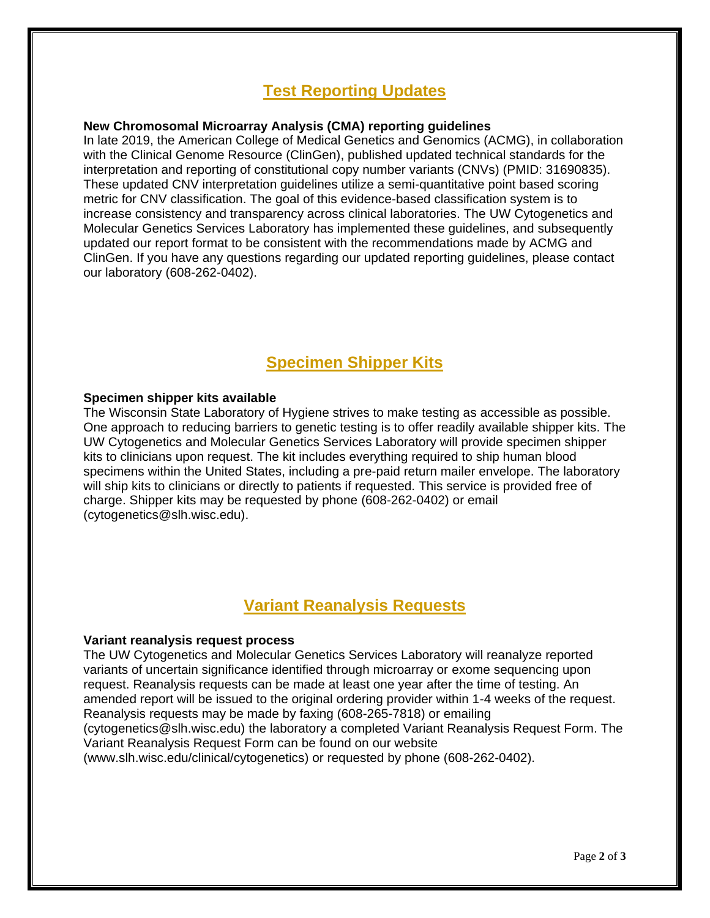## **Test Reporting Updates**

#### **New Chromosomal Microarray Analysis (CMA) reporting guidelines**

In late 2019, the American College of Medical Genetics and Genomics (ACMG), in collaboration with the Clinical Genome Resource (ClinGen), published updated technical standards for the interpretation and reporting of constitutional copy number variants (CNVs) (PMID: 31690835). These updated CNV interpretation guidelines utilize a semi-quantitative point based scoring metric for CNV classification. The goal of this evidence-based classification system is to increase consistency and transparency across clinical laboratories. The UW Cytogenetics and Molecular Genetics Services Laboratory has implemented these guidelines, and subsequently updated our report format to be consistent with the recommendations made by ACMG and ClinGen. If you have any questions regarding our updated reporting guidelines, please contact our laboratory (608-262-0402).

## **Specimen Shipper Kits**

#### **Specimen shipper kits available**

The Wisconsin State Laboratory of Hygiene strives to make testing as accessible as possible. One approach to reducing barriers to genetic testing is to offer readily available shipper kits. The UW Cytogenetics and Molecular Genetics Services Laboratory will provide specimen shipper kits to clinicians upon request. The kit includes everything required to ship human blood specimens within the United States, including a pre-paid return mailer envelope. The laboratory will ship kits to clinicians or directly to patients if requested. This service is provided free of charge. Shipper kits may be requested by phone (608-262-0402) or email (cytogenetics@slh.wisc.edu).

## **Variant Reanalysis Requests**

#### **Variant reanalysis request process**

The UW Cytogenetics and Molecular Genetics Services Laboratory will reanalyze reported variants of uncertain significance identified through microarray or exome sequencing upon request. Reanalysis requests can be made at least one year after the time of testing. An amended report will be issued to the original ordering provider within 1-4 weeks of the request. Reanalysis requests may be made by faxing (608-265-7818) or emailing

(cytogenetics@slh.wisc.edu) the laboratory a completed Variant Reanalysis Request Form. The Variant Reanalysis Request Form can be found on our website

(www.slh.wisc.edu/clinical/cytogenetics) or requested by phone (608-262-0402).